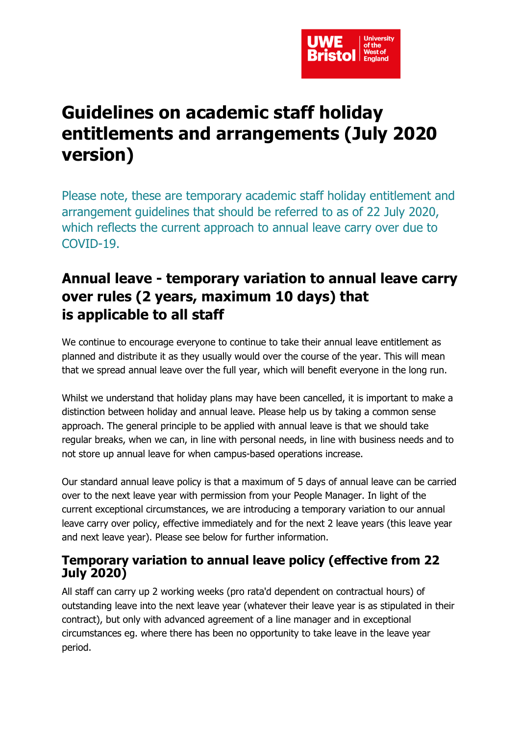

# **Guidelines on academic staff holiday entitlements and arrangements (July 2020 version)**

Please note, these are temporary academic staff holiday entitlement and arrangement guidelines that should be referred to as of 22 July 2020, which reflects the current approach to annual leave carry over due to COVID-19.

# **Annual leave - temporary variation to annual leave carry over rules (2 years, maximum 10 days) that is applicable to all staff**

We continue to encourage everyone to continue to take their annual leave entitlement as planned and distribute it as they usually would over the course of the year. This will mean that we spread annual leave over the full year, which will benefit everyone in the long run.

Whilst we understand that holiday plans may have been cancelled, it is important to make a distinction between holiday and annual leave. Please help us by taking a common sense approach. The general principle to be applied with annual leave is that we should take regular breaks, when we can, in line with personal needs, in line with business needs and to not store up annual leave for when campus-based operations increase.

Our standard annual leave policy is that a maximum of 5 days of annual leave can be carried over to the next leave year with permission from your People Manager. In light of the current exceptional circumstances, we are introducing a temporary variation to our annual leave carry over policy, effective immediately and for the next 2 leave years (this leave year and next leave year). Please see below for further information.

#### **Temporary variation to annual leave policy (effective from 22 July 2020)**

All staff can carry up 2 working weeks (pro rata'd dependent on contractual hours) of outstanding leave into the next leave year (whatever their leave year is as stipulated in their contract), but only with advanced agreement of a line manager and in exceptional circumstances eg. where there has been no opportunity to take leave in the leave year period.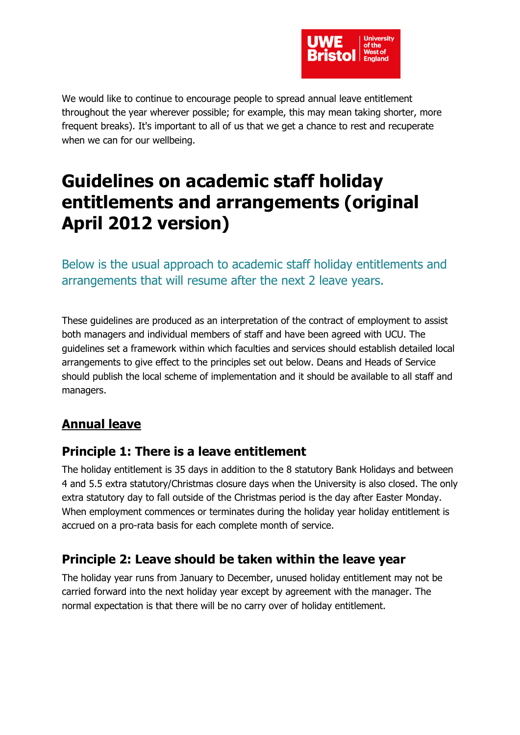

We would like to continue to encourage people to spread annual leave entitlement throughout the year wherever possible; for example, this may mean taking shorter, more frequent breaks). It's important to all of us that we get a chance to rest and recuperate when we can for our wellbeing.

# **Guidelines on academic staff holiday entitlements and arrangements (original April 2012 version)**

Below is the usual approach to academic staff holiday entitlements and arrangements that will resume after the next 2 leave years.

These guidelines are produced as an interpretation of the contract of employment to assist both managers and individual members of staff and have been agreed with UCU. The guidelines set a framework within which faculties and services should establish detailed local arrangements to give effect to the principles set out below. Deans and Heads of Service should publish the local scheme of implementation and it should be available to all staff and managers.

## **Annual leave**

#### **Principle 1: There is a leave entitlement**

The holiday entitlement is 35 days in addition to the 8 statutory Bank Holidays and between 4 and 5.5 extra statutory/Christmas closure days when the University is also closed. The only extra statutory day to fall outside of the Christmas period is the day after Easter Monday. When employment commences or terminates during the holiday year holiday entitlement is accrued on a pro-rata basis for each complete month of service.

### **Principle 2: Leave should be taken within the leave year**

The holiday year runs from January to December, unused holiday entitlement may not be carried forward into the next holiday year except by agreement with the manager. The normal expectation is that there will be no carry over of holiday entitlement.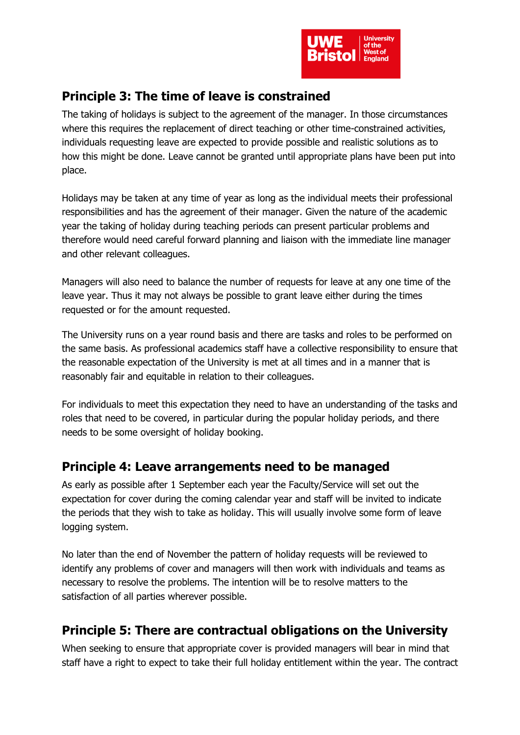

### **Principle 3: The time of leave is constrained**

The taking of holidays is subject to the agreement of the manager. In those circumstances where this requires the replacement of direct teaching or other time-constrained activities, individuals requesting leave are expected to provide possible and realistic solutions as to how this might be done. Leave cannot be granted until appropriate plans have been put into place.

Holidays may be taken at any time of year as long as the individual meets their professional responsibilities and has the agreement of their manager. Given the nature of the academic year the taking of holiday during teaching periods can present particular problems and therefore would need careful forward planning and liaison with the immediate line manager and other relevant colleagues.

Managers will also need to balance the number of requests for leave at any one time of the leave year. Thus it may not always be possible to grant leave either during the times requested or for the amount requested.

The University runs on a year round basis and there are tasks and roles to be performed on the same basis. As professional academics staff have a collective responsibility to ensure that the reasonable expectation of the University is met at all times and in a manner that is reasonably fair and equitable in relation to their colleagues.

For individuals to meet this expectation they need to have an understanding of the tasks and roles that need to be covered, in particular during the popular holiday periods, and there needs to be some oversight of holiday booking.

### **Principle 4: Leave arrangements need to be managed**

As early as possible after 1 September each year the Faculty/Service will set out the expectation for cover during the coming calendar year and staff will be invited to indicate the periods that they wish to take as holiday. This will usually involve some form of leave logging system.

No later than the end of November the pattern of holiday requests will be reviewed to identify any problems of cover and managers will then work with individuals and teams as necessary to resolve the problems. The intention will be to resolve matters to the satisfaction of all parties wherever possible.

## **Principle 5: There are contractual obligations on the University**

When seeking to ensure that appropriate cover is provided managers will bear in mind that staff have a right to expect to take their full holiday entitlement within the year. The contract